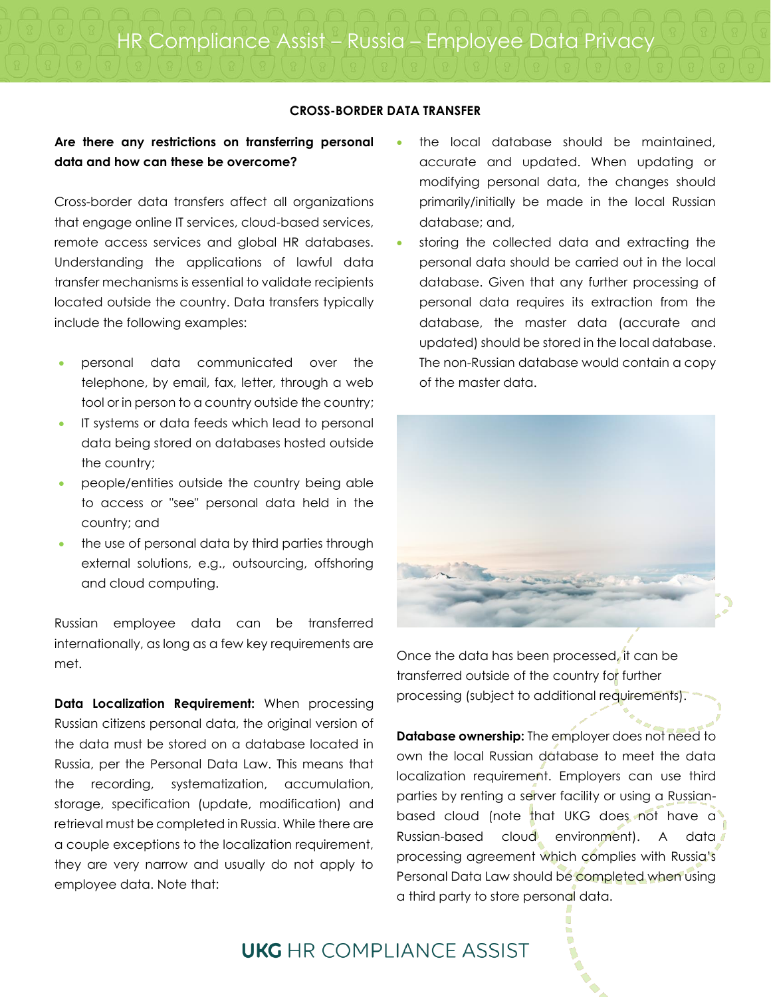HR Compliance Assist – Russia – Employee Data Privacy

#### **CROSS-BORDER DATA TRANSFER**

### **Are there any restrictions on transferring personal data and how can these be overcome?**

Cross-border data transfers affect all organizations that engage online IT services, cloud-based services, remote access services and global HR databases. Understanding the applications of lawful data transfer mechanisms is essential to validate recipients located outside the country. Data transfers typically include the following examples:

- personal data communicated over the telephone, by email, fax, letter, through a web tool or in person to a country outside the country;
- IT systems or data feeds which lead to personal data being stored on databases hosted outside the country;
- people/entities outside the country being able to access or "see" personal data held in the country; and
- the use of personal data by third parties through external solutions, e.g., outsourcing, offshoring and cloud computing.

Russian employee data can be transferred internationally, as long as a few key requirements are met.

**Data Localization Requirement:** When processing Russian citizens personal data, the original version of the data must be stored on a database located in Russia, per the Personal Data Law. This means that the recording, systematization, accumulation, storage, specification (update, modification) and retrieval must be completed in Russia. While there are a couple exceptions to the localization requirement, they are very narrow and usually do not apply to employee data. Note that:

- the local database should be maintained, accurate and updated. When updating or modifying personal data, the changes should primarily/initially be made in the local Russian database; and,
- storing the collected data and extracting the personal data should be carried out in the local database. Given that any further processing of personal data requires its extraction from the database, the master data (accurate and updated) should be stored in the local database. The non-Russian database would contain a copy of the master data.



Once the data has been processed, it can be transferred outside of the country for further processing (subject to additional requirements).

**Database ownership:** The employer does not need to own the local Russian database to meet the data localization requirement. Employers can use third parties by renting a server facility or using a Russianbased cloud (note that UKG does not have a) Russian-based cloud environment). A data processing agreement which complies with Russia's Personal Data Law should be completed when using a third party to store personal data.

## **UKG** HR COMPI IANCE ASSIST